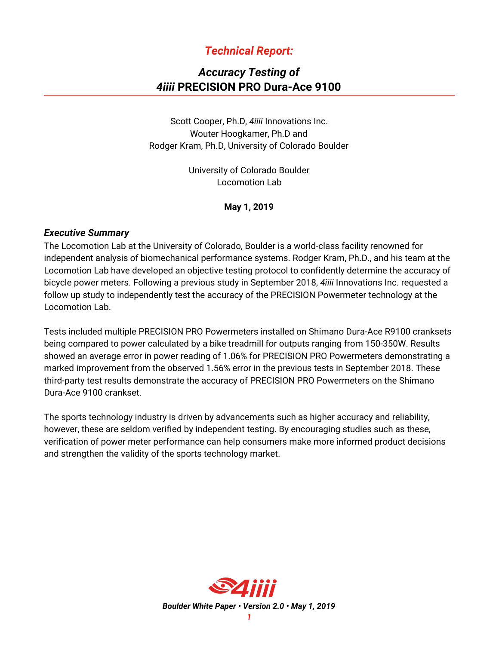## *Technical Report:*

# *Accuracy Testing of 4iiii* **PRECISION PRO Dura-Ace 9100**

Scott Cooper, Ph.D, *4iiii* Innovations Inc. Wouter Hoogkamer, Ph.D and Rodger Kram, Ph.D, University of Colorado Boulder

> University of Colorado Boulder Locomotion Lab

> > **May 1, 2019**

#### *Executive Summary*

The Locomotion Lab at the University of Colorado, Boulder is a world-class facility renowned for independent analysis of biomechanical performance systems. Rodger Kram, Ph.D., and his team at the Locomotion Lab have developed an objective testing protocol to confidently determine the accuracy of bicycle power meters. Following a previous study in September 2018, *4iiii* Innovations Inc. requested a follow up study to independently test the accuracy of the PRECISION Powermeter technology at the Locomotion Lab.

Tests included multiple PRECISION PRO Powermeters installed on Shimano Dura-Ace R9100 cranksets being compared to power calculated by a bike treadmill for outputs ranging from 150-350W. Results showed an average error in power reading of 1.06% for PRECISION PRO Powermeters demonstrating a marked improvement from the observed 1.56% error in the previous tests in September 2018. These third-party test results demonstrate the accuracy of PRECISION PRO Powermeters on the Shimano Dura-Ace 9100 crankset.

The sports technology industry is driven by advancements such as higher accuracy and reliability, however, these are seldom verified by independent testing. By encouraging studies such as these, verification of power meter performance can help consumers make more informed product decisions and strengthen the validity of the sports technology market.

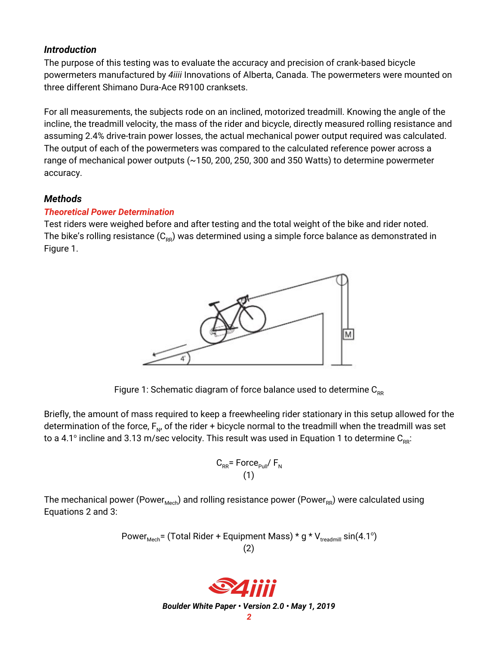## *Introduction*

The purpose of this testing was to evaluate the accuracy and precision of crank-based bicycle powermeters manufactured by *4iiii* Innovations of Alberta, Canada. The powermeters were mounted on three different Shimano Dura-Ace R9100 cranksets.

For all measurements, the subjects rode on an inclined, motorized treadmill. Knowing the angle of the incline, the treadmill velocity, the mass of the rider and bicycle, directly measured rolling resistance and assuming 2.4% drive-train power losses, the actual mechanical power output required was calculated. The output of each of the powermeters was compared to the calculated reference power across a range of mechanical power outputs (~150, 200, 250, 300 and 350 Watts) to determine powermeter accuracy.

## *Methods*

### *Theoretical Power Determination*

Test riders were weighed before and after testing and the total weight of the bike and rider noted. The bike's rolling resistance ( $\mathsf{C}_{\mathsf{RR}}$ ) was determined using a simple force balance as demonstrated in Figure 1.



Figure 1: Schematic diagram of force balance used to determine  $C_{RR}$ 

Briefly, the amount of mass required to keep a freewheeling rider stationary in this setup allowed for the determination of the force,  $\mathsf{F}_\mathsf{N}$ , of the rider + bicycle normal to the treadmill when the treadmill was set to a 4.1° incline and 3.13 m/sec velocity. This result was used in Equation 1 to determine  $\mathtt{C_{\tiny RR}\!\!}$ :

$$
C_{RR} = \text{Force}_{\text{Paul}} / F_{N}
$$
\n(1)

The mechanical power (Power<sub>Mech</sub>) and rolling resistance power (Power<sub>RR</sub>) were calculated using Equations 2 and 3:

Power<sub>Mech</sub> = (Total Rider + Equipment Mass) \* g \* 
$$
V_{\text{treadmill}}
$$
 sin(4.1°)  
(2)



*Boulder White Paper • Version 2.0 • May 1, 2019*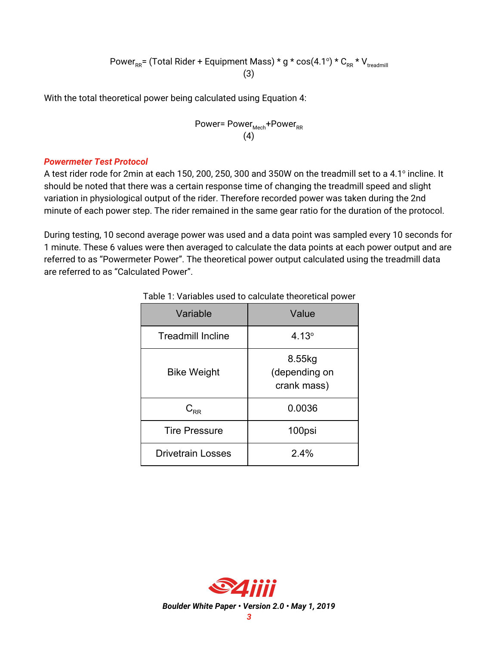Power<sub>RR</sub>= (Total Rider + Equipment Mass) \* g \* cos(4.1°) \* C<sub>RR</sub> \* V<sub>treadmill</sub> (3)

With the total theoretical power being calculated using Equation 4:

$$
Power = Power_{Mech} + Power_{RR}
$$
\n(4)

#### *Powermeter Test Protocol*

A test rider rode for 2min at each 150, 200, 250, 300 and 350W on the treadmill set to a 4.1° incline. It should be noted that there was a certain response time of changing the treadmill speed and slight variation in physiological output of the rider. Therefore recorded power was taken during the 2nd minute of each power step. The rider remained in the same gear ratio for the duration of the protocol.

During testing, 10 second average power was used and a data point was sampled every 10 seconds for 1 minute. These 6 values were then averaged to calculate the data points at each power output and are referred to as "Powermeter Power". The theoretical power output calculated using the treadmill data are referred to as "Calculated Power".

| Variable                 | Value                                  |
|--------------------------|----------------------------------------|
| <b>Treadmill Incline</b> | $4.13^{\circ}$                         |
| <b>Bike Weight</b>       | 8.55kg<br>(depending on<br>crank mass) |
| $\mathsf{C}_\mathsf{RR}$ | 0.0036                                 |
| <b>Tire Pressure</b>     | 100psi                                 |
| <b>Drivetrain Losses</b> | 2.4%                                   |

#### Table 1: Variables used to calculate theoretical power

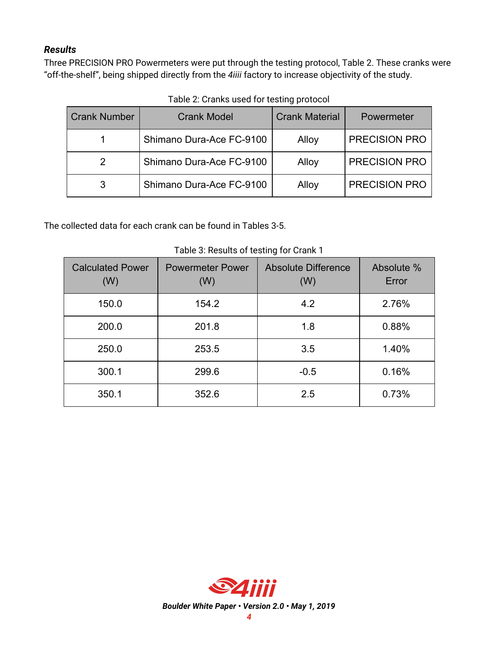## *Results*

Three PRECISION PRO Powermeters were put through the testing protocol, Table 2. These cranks were "off-the-shelf", being shipped directly from the *4iiii* factory to increase objectivity of the study.

| <b>Crank Number</b> | <b>Crank Model</b>       | <b>Crank Material</b> | Powermeter           |
|---------------------|--------------------------|-----------------------|----------------------|
|                     | Shimano Dura-Ace FC-9100 | Alloy                 | PRECISION PRO        |
| 2                   | Shimano Dura-Ace FC-9100 | Alloy                 | <b>PRECISION PRO</b> |
|                     | Shimano Dura-Ace FC-9100 | Alloy                 | <b>PRECISION PRO</b> |

Table 2: Cranks used for testing protocol

The collected data for each crank can be found in Tables 3-5.

| <b>Calculated Power</b><br>(W) | <b>Powermeter Power</b><br>(W) | <b>Absolute Difference</b><br>(W) | Absolute %<br>Error |
|--------------------------------|--------------------------------|-----------------------------------|---------------------|
| 150.0                          | 154.2                          | 4.2                               | 2.76%               |
| 200.0                          | 201.8                          | 1.8                               | 0.88%               |
| 250.0                          | 253.5                          | 3.5                               | 1.40%               |
| 300.1                          | 299.6                          | $-0.5$                            | 0.16%               |
| 350.1                          | 352.6                          | 2.5                               | 0.73%               |

Table 3: Results of testing for Crank 1



*Boulder White Paper • Version 2.0 • May 1, 2019*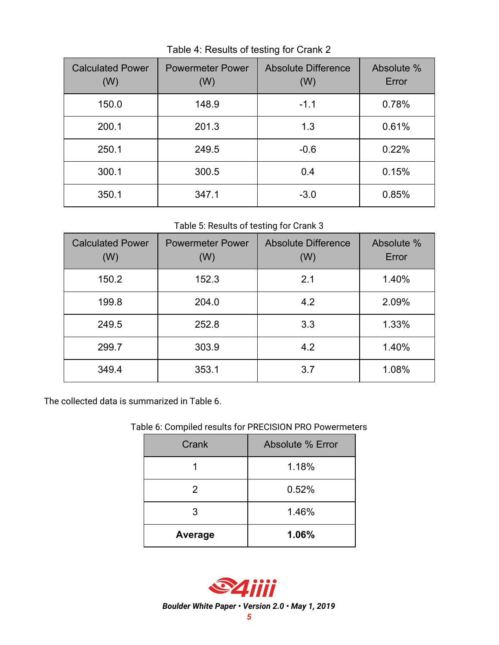| <b>Calculated Power</b><br>(W) | <b>Powermeter Power</b><br>(W) | <b>Absolute Difference</b><br>(W) | Absolute %<br>Error |
|--------------------------------|--------------------------------|-----------------------------------|---------------------|
| 150.0                          | 148.9                          | $-1.1$                            | 0.78%               |
| 200.1                          | 201.3                          | 1.3                               | 0.61%               |
| 250.1                          | 249.5                          | $-0.6$                            | 0.22%               |
| 300.1                          | 300.5                          | 0.4                               | 0.15%               |
| 350.1                          | 347.1                          | $-3.0$                            | 0.85%               |

Table 4: Results of testing for Crank 2

Table 5: Results of testing for Crank 3

| <b>Calculated Power</b><br>(W) | <b>Powermeter Power</b><br>(W) | <b>Absolute Difference</b><br>(W) | Absolute %<br>Error |
|--------------------------------|--------------------------------|-----------------------------------|---------------------|
| 150.2                          | 152.3                          | 2.1                               | 1.40%               |
| 199.8                          | 204.0                          | 4.2                               | 2.09%               |
| 249.5                          | 252.8                          | 3.3                               | 1.33%               |
| 299.7                          | 303.9                          | 4.2                               | 1.40%               |
| 349.4                          | 353.1                          | 3.7                               | 1.08%               |

The collected data is summarized in Table 6.

## Table 6: Compiled results for PRECISION PRO Powermeters

| Crank   | Absolute % Error |
|---------|------------------|
|         | 1.18%            |
| 2       | 0.52%            |
| 3       | 1.46%            |
| Average | 1.06%            |



*Boulder White Paper • Version 2.0 • May 1, 2019*